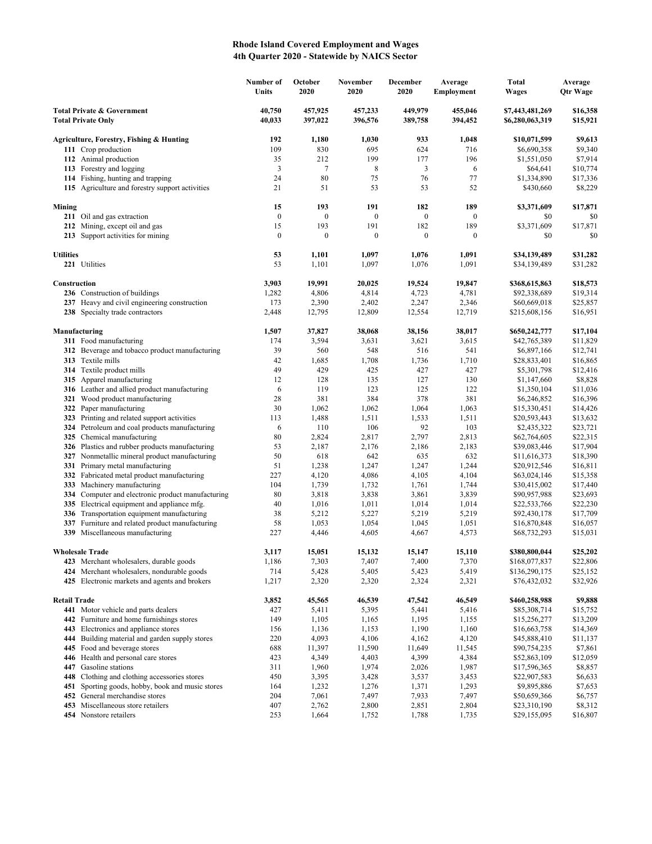## **Rhode Island Covered Employment and Wages 4th Quarter 2020 - Statewide by NAICS Sector**

|                                                                    |                                                                                             | Number of<br>Units | October<br>2020    | November<br>2020   | December<br>2020   | Average<br><b>Employment</b> | <b>Total</b><br><b>Wages</b>       | Average<br><b>Qtr Wage</b> |
|--------------------------------------------------------------------|---------------------------------------------------------------------------------------------|--------------------|--------------------|--------------------|--------------------|------------------------------|------------------------------------|----------------------------|
| <b>Total Private &amp; Government</b><br><b>Total Private Only</b> |                                                                                             | 40,750<br>40,033   | 457,925<br>397,022 | 457,233<br>396,576 | 449,979<br>389,758 | 455,046<br>394,452           | \$7,443,481,269<br>\$6,280,063,319 | \$16,358<br>\$15,921       |
|                                                                    | Agriculture, Forestry, Fishing & Hunting                                                    | 192                | 1,180              | 1,030              | 933                | 1,048                        | \$10,071,599                       | \$9,613                    |
|                                                                    | 111 Crop production                                                                         | 109                | 830                | 695                | 624                | 716                          | \$6,690,358                        | \$9,340                    |
|                                                                    | 112 Animal production                                                                       | 35                 | 212                | 199                | 177                | 196                          | \$1,551,050                        | \$7,914                    |
|                                                                    | 113 Forestry and logging                                                                    | 3                  | 7                  | 8                  | $\mathfrak{Z}$     | 6                            | \$64,641                           | \$10,774                   |
|                                                                    | 114 Fishing, hunting and trapping                                                           | 24                 | 80                 | 75                 | 76                 | 77                           | \$1,334,890                        | \$17,336                   |
|                                                                    | 115 Agriculture and forestry support activities                                             | 21                 | 51                 | 53                 | 53                 | 52                           | \$430,660                          | \$8,229                    |
| Mining                                                             |                                                                                             | 15                 | 193                | 191                | 182                | 189                          | \$3,371,609                        | \$17,871                   |
|                                                                    | 211 Oil and gas extraction                                                                  | $\boldsymbol{0}$   | $\boldsymbol{0}$   | $\boldsymbol{0}$   | $\boldsymbol{0}$   | $\mathbf{0}$                 | \$0                                | \$0                        |
|                                                                    | 212 Mining, except oil and gas                                                              | 15                 | 193                | 191                | 182                | 189                          | \$3,371,609                        | \$17,871                   |
|                                                                    | 213 Support activities for mining                                                           | $\boldsymbol{0}$   | $\boldsymbol{0}$   | $\boldsymbol{0}$   | $\boldsymbol{0}$   | $\boldsymbol{0}$             | \$0                                | \$0                        |
| <b>Utilities</b>                                                   |                                                                                             | 53                 | 1,101              | 1,097              | 1,076              | 1,091                        | \$34,139,489                       | \$31,282                   |
|                                                                    | 221 Utilities                                                                               | 53                 | 1,101              | 1,097              | 1,076              | 1,091                        | \$34,139,489                       | \$31,282                   |
| Construction                                                       |                                                                                             | 3,903              | 19,991             | 20,025             | 19,524             | 19,847                       | \$368,615,863                      | \$18,573                   |
|                                                                    | 236 Construction of buildings                                                               | 1,282              | 4,806              | 4,814              | 4,723              | 4,781                        | \$92,338,689                       | \$19,314                   |
|                                                                    | 237 Heavy and civil engineering construction                                                | 173                | 2,390              | 2,402              | 2,247              | 2,346                        | \$60,669,018                       | \$25,857                   |
|                                                                    | 238 Specialty trade contractors                                                             | 2,448              | 12,795             | 12,809             | 12,554             | 12,719                       | \$215,608,156                      | \$16,951                   |
|                                                                    | Manufacturing                                                                               | 1,507              | 37,827             | 38,068             | 38,156             | 38,017                       | \$650,242,777                      | \$17,104                   |
|                                                                    | 311 Food manufacturing                                                                      | 174                | 3,594              | 3,631              | 3,621              | 3,615                        | \$42,765,389                       | \$11,829                   |
|                                                                    | 312 Beverage and tobacco product manufacturing                                              | 39                 | 560                | 548                | 516                | 541                          | \$6,897,166                        | \$12,741                   |
|                                                                    | 313 Textile mills                                                                           | 42                 | 1,685              | 1,708              | 1,736              | 1,710                        | \$28,833,401                       | \$16,865                   |
|                                                                    | 314 Textile product mills                                                                   | 49                 | 429                | 425                | 427                | 427                          | \$5,301,798                        | \$12,416                   |
|                                                                    | 315 Apparel manufacturing                                                                   | 12                 | 128                | 135                | 127                | 130                          | \$1,147,660                        | \$8,828                    |
|                                                                    | 316 Leather and allied product manufacturing                                                | 6                  | 119<br>381         | 123<br>384         | 125<br>378         | 122                          | \$1,350,104                        | \$11,036                   |
|                                                                    | 321 Wood product manufacturing<br>322 Paper manufacturing                                   | 28<br>30           | 1,062              | 1,062              | 1,064              | 381<br>1,063                 | \$6,246,852<br>\$15,330,451        | \$16,396<br>\$14,426       |
|                                                                    | 323 Printing and related support activities                                                 | 113                | 1,488              | 1,511              | 1,533              | 1,511                        | \$20,593,443                       | \$13,632                   |
|                                                                    | 324 Petroleum and coal products manufacturing                                               | 6                  | 110                | 106                | 92                 | 103                          | \$2,435,322                        | \$23,721                   |
|                                                                    | 325 Chemical manufacturing                                                                  | 80                 | 2,824              | 2,817              | 2,797              | 2,813                        | \$62,764,605                       | \$22,315                   |
|                                                                    | 326 Plastics and rubber products manufacturing                                              | 53                 | 2,187              | 2,176              | 2,186              | 2,183                        | \$39,083,446                       | \$17,904                   |
|                                                                    | 327 Nonmetallic mineral product manufacturing                                               | 50                 | 618                | 642                | 635                | 632                          | \$11,616,373                       | \$18,390                   |
|                                                                    | 331 Primary metal manufacturing                                                             | 51                 | 1,238              | 1,247              | 1,247              | 1,244                        | \$20,912,546                       | \$16,811                   |
|                                                                    | 332 Fabricated metal product manufacturing                                                  | 227                | 4,120              | 4,086              | 4,105              | 4,104                        | \$63,024,146                       | \$15,358                   |
|                                                                    | 333 Machinery manufacturing                                                                 | 104                | 1,739              | 1,732              | 1,761              | 1,744                        | \$30,415,002                       | \$17,440                   |
|                                                                    | 334 Computer and electronic product manufacturing                                           | 80                 | 3,818              | 3,838              | 3,861              | 3,839                        | \$90,957,988                       | \$23,693                   |
|                                                                    | 335 Electrical equipment and appliance mfg.                                                 | 40                 | 1,016              | 1,011              | 1,014              | 1,014                        | \$22,533,766                       | \$22,230                   |
|                                                                    | 336 Transportation equipment manufacturing                                                  | 38                 | 5,212              | 5,227              | 5,219              | 5,219                        | \$92,430,178                       | \$17,709                   |
|                                                                    | 337 Furniture and related product manufacturing                                             | 58                 | 1,053              | 1,054              | 1,045              | 1,051                        | \$16,870,848                       | \$16,057                   |
|                                                                    | 339 Miscellaneous manufacturing                                                             | 227                | 4,446              | 4,605              | 4,667              | 4,573                        | \$68,732,293                       | \$15,031                   |
|                                                                    | <b>Wholesale Trade</b>                                                                      | 3,117              | 15,051             | 15,132             | 15,147             | 15,110                       | \$380,800,044                      | \$25,202                   |
|                                                                    | 423 Merchant wholesalers, durable goods                                                     | 1,186              | 7,303              | 7,407              | 7,400              | 7,370                        | \$168,077,837                      | \$22,806                   |
|                                                                    | 424 Merchant wholesalers, nondurable goods<br>425 Electronic markets and agents and brokers | 714<br>1,217       | 5,428<br>2,320     | 5,405<br>2,320     | 5,423<br>2,324     | 5,419<br>2,321               | \$136,290,175<br>\$76,432,032      | \$25,152<br>\$32,926       |
|                                                                    |                                                                                             |                    |                    |                    |                    |                              |                                    |                            |
| <b>Retail Trade</b>                                                | 441 Motor vehicle and parts dealers                                                         | 3,852<br>427       | 45,565<br>5,411    | 46,539<br>5,395    | 47,542<br>5,441    | 46,549<br>5,416              | \$460,258,988<br>\$85,308,714      | \$9,888<br>\$15,752        |
|                                                                    | 442 Furniture and home furnishings stores                                                   | 149                | 1,105              | 1,165              | 1,195              | 1,155                        | \$15,256,277                       | \$13,209                   |
| 443                                                                | Electronics and appliance stores                                                            | 156                | 1,136              | 1,153              | 1,190              | 1,160                        | \$16,663,758                       | \$14,369                   |
|                                                                    | 444 Building material and garden supply stores                                              | 220                | 4,093              | 4,106              | 4,162              | 4,120                        | \$45,888,410                       | \$11,137                   |
|                                                                    | 445 Food and beverage stores                                                                | 688                | 11,397             | 11,590             | 11,649             | 11,545                       | \$90,754,235                       | \$7,861                    |
|                                                                    | 446 Health and personal care stores                                                         | 423                | 4,349              | 4,403              | 4,399              | 4,384                        | \$52,863,109                       | \$12,059                   |
|                                                                    | 447 Gasoline stations                                                                       | 311                | 1,960              | 1,974              | 2,026              | 1,987                        | \$17,596,365                       | \$8,857                    |
|                                                                    | 448 Clothing and clothing accessories stores                                                | 450                | 3,395              | 3,428              | 3,537              | 3,453                        | \$22,907,583                       | \$6,633                    |
| 451                                                                | Sporting goods, hobby, book and music stores                                                | 164                | 1,232              | 1,276              | 1,371              | 1,293                        | \$9,895,886                        | \$7,653                    |
|                                                                    | 452 General merchandise stores                                                              | 204                | 7,061              | 7,497              | 7,933              | 7,497                        | \$50,659,366                       | \$6,757                    |
|                                                                    | 453 Miscellaneous store retailers                                                           | 407                | 2,762              | 2,800              | 2,851              | 2,804                        | \$23,310,190                       | \$8,312                    |
|                                                                    | 454 Nonstore retailers                                                                      | 253                | 1,664              | 1,752              | 1,788              | 1,735                        | \$29,155,095                       | \$16,807                   |